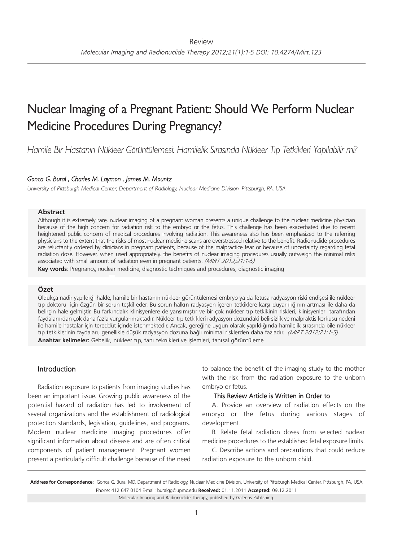# Nuclear Imaging of a Pregnant Patient: Should We Perform Nuclear Medicine Procedures During Pregnancy?

*Hamile Bir Hastanın Nükleer Görüntülemesi: Hamilelik Sırasında Nükleer Tıp Tetkikleri Yapılabilir mi?*

## *Gonca G. Bural , Charles M. Laymon , James M. Mountz*

*University of Pittsburgh Medical Center, Department of Radiology, Nuclear Medicine Division, Pittsburgh, PA, USA*

#### **Abstract**

Although it is extremely rare, nuclear imaging of a pregnant woman presents a unique challenge to the nuclear medicine physician because of the high concern for radiation risk to the embryo or the fetus. This challenge has been exacerbated due to recent heightened public concern of medical procedures involving radiation. This awareness also has been emphasized to the referring physicians to the extent that the risks of most nuclear medicine scans are overstressed relative to the benefit. Radionuclide procedures are reluctantly ordered by clinicians in pregnant patients, because of the malpractice fear or because of uncertainty regarding fetal radiation dose. However, when used appropriately, the benefits of nuclear imaging procedures usually outweigh the minimal risks associated with small amount of radiation even in pregnant patients. *(MIRT 2012;21:1-5)*

**Key words**: Pregnancy, nuclear medicine, diagnostic techniques and procedures, diagnostic imaging

## **Özet**

Oldukça nadir yapıldığı halde, hamile bir hastanın nükleer görüntülemesi embryo ya da fetusa radyasyon riski endişesi ile nükleer tıp doktoru için özgün bir sorun teşkil eder. Bu sorun halkın radyasyon içeren tetkiklere karşı duyarlılığının artması ile daha da belirgin hale gelmiştir. Bu farkındalık klinisyenlere de yansımıştır ve bir çok nükleer tıp tetkikinin riskleri, klinisyenler tarafından faydalarından çok daha fazla vurgulanmaktadır. Nükleer tıp tetkikleri radyasyon dozundaki belirsizlik ve malpraktis korkusu nedeni ile hamile hastalar için tereddüt içinde istenmektedir. Ancak, gereğine uygun olarak yapıldığında hamilelik sırasında bile nükleer tıp tetkiklerinin faydaları, genellikle düşük radyasyon dozuna bağlı minimal risklerden daha fazladır. *(MIRT 2012;21:1-5)* **Anahtar kelimeler:** Gebelik, nükleer tıp, tanı teknikleri ve işlemleri, tanısal görüntüleme

### Introduction

Radiation exposure to patients from imaging studies has been an important issue. Growing public awareness of the potential hazard of radiation has led to involvement of several organizations and the establishment of radiological protection standards, legislation, guidelines, and programs. Modern nuclear medicine imaging procedures offer significant information about disease and are often critical components of patient management. Pregnant women present a particularly difficult challenge because of the need to balance the benefit of the imaging study to the mother with the risk from the radiation exposure to the unborn embryo or fetus.

#### This Review Article is Written in Order to

A. Provide an overview of radiation effects on the embryo or the fetus during various stages of development.

B. Relate fetal radiation doses from selected nuclear medicine procedures to the established fetal exposure limits.

C. Describe actions and precautions that could reduce radiation exposure to the unborn child.

Address for Correspondence: Gonca G. Bural MD, Department of Radiology, Nuclear Medicine Division, University of Pittsburgh Medical Center, Pittsburgh, PA, USA Phone: 412 647 0104 E-mail: buralgg@upmc.edu **Received:** 01.11.2011 **Ac cep ted:** 09.12.2011

Molecular Imaging and Radionuclide Therapy, published by Galenos Publishing.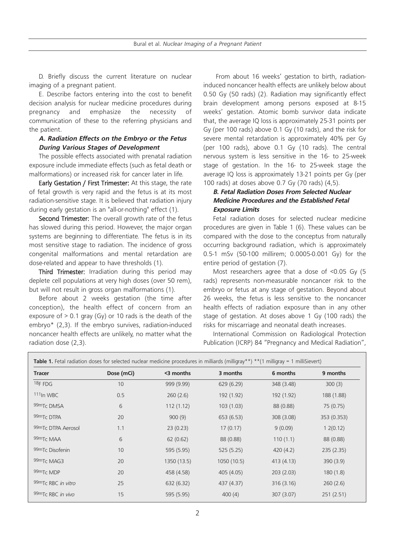Bural et al. *Nuclear Imaging of a Pregnant Patient*

D. Briefly discuss the current literature on nuclear imaging of a pregnant patient.

E. Describe factors entering into the cost to benefit decision analysis for nuclear medicine procedures during pregnancy and emphasize the necessity of communication of these to the referring physicians and the patient.

## **A. Radiation Effects on the Embryo or the Fetus During Various Stages of Development**

The possible effects associated with prenatal radiation exposure include immediate effects (such as fetal death or malformations) or increased risk for cancer later in life.

Early Gestation / First Trimester: At this stage, the rate of fetal growth is very rapid and the fetus is at its most radiation-sensitive stage. It is believed that radiation injury during early gestation is an "all-or-nothing" effect (1).

Second Trimester: The overall growth rate of the fetus has slowed during this period. However, the major organ systems are beginning to differentiate. The fetus is in its most sensitive stage to radiation. The incidence of gross congenital malformations and mental retardation are dose-related and appear to have thresholds (1).

Third Trimester: Irradiation during this period may deplete cell populations at very high doses (over 50 rem), but will not result in gross organ malformations (1).

Before about 2 weeks gestation (the time after conception), the health effect of concern from an exposure of  $> 0.1$  gray (Gy) or 10 rads is the death of the embryo\* (2,3). If the embryo survives, radiation-induced noncancer health effects are unlikely, no matter what the radiation dose (2,3).

From about 16 weeks' gestation to birth, radiationinduced noncancer health effects are unlikely below about 0.50 Gy (50 rads) (2). Radiation may significantly effect brain development among persons exposed at 8-15 weeks' gestation. Atomic bomb survivor data indicate that, the average IQ loss is approximately 25-31 points per Gy (per 100 rads) above 0.1 Gy (10 rads), and the risk for severe mental retardation is approximately 40% per Gy (per 100 rads), above 0.1 Gy (10 rads). The central nervous system is less sensitive in the 16- to 25-week stage of gestation. In the 16- to 25-week stage the average IQ loss is approximately 13-21 points per Gy (per 100 rads) at doses above 0.7 Gy (70 rads) (4,5).

# **B. Fetal Radiation Doses From Selected Nuclear Medicine Procedures and the Established Fetal Exposure Limits**

Fetal radiation doses for selected nuclear medicine procedures are given in Table 1 (6). These values can be compared with the dose to the conceptus from naturally occurring background radiation, which is approximately 0.5-1 mSv (50-100 millirem; 0.0005-0.001 Gy) for the entire period of gestation (7).

Most researchers agree that a dose of <0.05 Gy (5 rads) represents non-measurable noncancer risk to the embryo or fetus at any stage of gestation. Beyond about 26 weeks, the fetus is less sensitive to the noncancer health effects of radiation exposure than in any other stage of gestation. At doses above 1 Gy (100 rads) the risks for miscarriage and neonatal death increases.

International Commission on Radiological Protection Publication (ICRP) 84 "Pregnancy and Medical Radiation",

| <b>Tracer</b>                 | Dose (mCi) | <3 months   | 3 months    | 6 months   | 9 months    |
|-------------------------------|------------|-------------|-------------|------------|-------------|
| 18F FDG                       | 10         | 999 (9.99)  | 629 (6.29)  | 348 (3.48) | 300(3)      |
| $111\text{ln}$ WBC            | 0.5        | 260(2.6)    | 192 (1.92)  | 192 (1.92) | 188 (1.88)  |
| 99mTc DMSA                    | 6          | 112(1.12)   | 103(1.03)   | 88 (0.88)  | 75 (0.75)   |
| 99m <sub>Tc</sub> DTPA        | 20         | 900(9)      | 653 (6.53)  | 308 (3.08) | 353 (0.353) |
| 99mTc DTPA Aerosol            | 1.1        | 23(0.23)    | 17(0.17)    | 9(0.09)    | 12(0.12)    |
| 99m <sub>Tc</sub> MAA         | 6          | 62(0.62)    | 88 (0.88)   | 110(1.1)   | 88 (0.88)   |
| 99mTc Disofenin               | 10         | 595 (5.95)  | 525(5.25)   | 420(4.2)   | 235(2.35)   |
| 99mTc MAG3                    | 20         | 1350 (13.5) | 1050 (10.5) | 413(4.13)  | 390(3.9)    |
| 99m <sub>Tc</sub> MDP         | 20         | 458 (4.58)  | 405 (4.05)  | 203(2.03)  | 180(1.8)    |
| 99mTc RBC in vitro            | 25         | 632 (6.32)  | 437 (4.37)  | 316(3.16)  | 260(2.6)    |
| 99m <sub>Tc</sub> RBC in vivo | 15         | 595 (5.95)  | 400(4)      | 307 (3.07) | 251(2.51)   |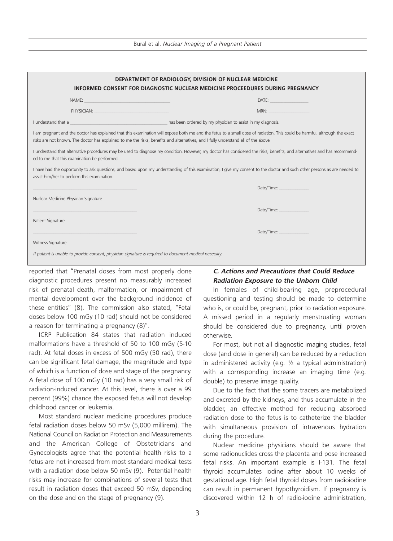| Bural et al. Nuclear Imaging of a Pregnant Patient |  |  |  |
|----------------------------------------------------|--|--|--|
|----------------------------------------------------|--|--|--|

|                                                                                                         | DEPARTMENT OF RADIOLOGY, DIVISION OF NUCLEAR MEDICINE<br>INFORMED CONSENT FOR DIAGNOSTIC NUCLEAR MEDICINE PROCEEDURES DURING PREGNANCY                                                                                                                                                                           |  |  |  |
|---------------------------------------------------------------------------------------------------------|------------------------------------------------------------------------------------------------------------------------------------------------------------------------------------------------------------------------------------------------------------------------------------------------------------------|--|--|--|
|                                                                                                         | DATE: the contract of the contract of the contract of the contract of the contract of the contract of the contract of the contract of the contract of the contract of the contract of the contract of the contract of the cont                                                                                   |  |  |  |
|                                                                                                         | MRN: Andrew March 2007                                                                                                                                                                                                                                                                                           |  |  |  |
|                                                                                                         |                                                                                                                                                                                                                                                                                                                  |  |  |  |
|                                                                                                         | I am pregnant and the doctor has explained that this examination will expose both me and the fetus to a small dose of radiation. This could be harmful, although the exact<br>risks are not known. The doctor has explained to me the risks, benefits and alternatives, and I fully understand all of the above. |  |  |  |
| ed to me that this examination be performed.                                                            | I understand that alternative procedures may be used to diagnose my condition. However, my doctor has considered the risks, benefits, and alternatives and has recommend-                                                                                                                                        |  |  |  |
| assist him/her to perform this examination.                                                             | I have had the opportunity to ask questions, and based upon my understanding of this examination, I give my consent to the doctor and such other persons as are needed to                                                                                                                                        |  |  |  |
|                                                                                                         |                                                                                                                                                                                                                                                                                                                  |  |  |  |
| Nuclear Medicine Physician Signature                                                                    |                                                                                                                                                                                                                                                                                                                  |  |  |  |
|                                                                                                         |                                                                                                                                                                                                                                                                                                                  |  |  |  |
| Patient Signature                                                                                       |                                                                                                                                                                                                                                                                                                                  |  |  |  |
|                                                                                                         | Date/Time: and the control of the control of the control of the control of the control of the control of the control of the control of the control of the control of the control of the control of the control of the control                                                                                    |  |  |  |
| Witness Signature                                                                                       |                                                                                                                                                                                                                                                                                                                  |  |  |  |
| If patient is unable to provide consent, physician signature is required to document medical necessity. |                                                                                                                                                                                                                                                                                                                  |  |  |  |

reported that "Prenatal doses from most properly done diagnostic procedures present no measurably increased risk of prenatal death, malformation, or impairment of mental development over the background incidence of these entities" (8). The commission also stated, "Fetal doses below 100 mGy (10 rad) should not be considered a reason for terminating a pregnancy (8)".

ICRP Publication 84 states that radiation induced malformations have a threshold of 50 to 100 mGy (5-10 rad). At fetal doses in excess of 500 mGy (50 rad), there can be significant fetal damage, the magnitude and type of which is a function of dose and stage of the pregnancy. A fetal dose of 100 mGy (10 rad) has a very small risk of radiation-induced cancer. At this level, there is over a 99 percent (99%) chance the exposed fetus will not develop childhood cancer or leukemia.

Most standard nuclear medicine procedures produce fetal radiation doses below 50 mSv (5,000 millirem). The National Council on Radiation Protection and Measurements and the American College of Obstetricians and Gynecologists agree that the potential health risks to a fetus are not increased from most standard medical tests with a radiation dose below 50 mSv (9). Potential health risks may increase for combinations of several tests that result in radiation doses that exceed 50 mSv, depending on the dose and on the stage of pregnancy (9).

## **C. Actions and Precautions that Could Reduce Radiation Exposure to the Unborn Child**

In females of child-bearing age, preprocedural questioning and testing should be made to determine who is, or could be, pregnant, prior to radiation exposure. A missed period in a regularly menstruating woman should be considered due to pregnancy, until proven otherwise.

For most, but not all diagnostic imaging studies, fetal dose (and dose in general) can be reduced by a reduction in administered activity (e.g. ½ a typical administration) with a corresponding increase an imaging time (e.g. double) to preserve image quality.

Due to the fact that the some tracers are metabolized and excreted by the kidneys, and thus accumulate in the bladder, an effective method for reducing absorbed radiation dose to the fetus is to catheterize the bladder with simultaneous provision of intravenous hydration during the procedure.

Nuclear medicine physicians should be aware that some radionuclides cross the placenta and pose increased fetal risks. An important example is I-131. The fetal thyroid accumulates iodine after about 10 weeks of gestational age. High fetal thyroid doses from radioiodine can result in permanent hypothyroidism. If pregnancy is discovered within 12 h of radio-iodine administration,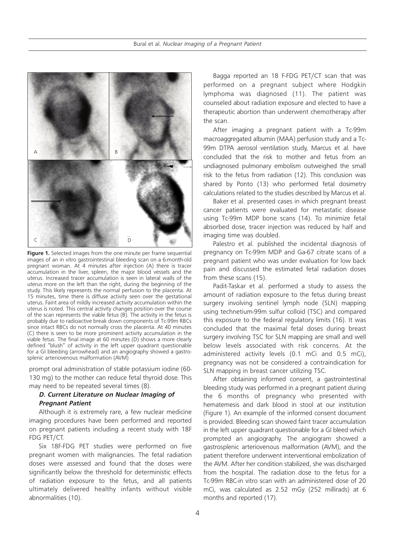

**Figure 1.** Selected images from the one minute per frame sequential images of an in vitro gastrointestinal bleeding scan on a 6-month-old pregnant woman. At 4 minutes after injection (A) there is tracer accumulation in the liver, spleen, the major blood vessels and the uterus. Increased tracer accumulation is seen in lateral walls of the uterus more on the left than the right, during the beginning of the study. This likely represents the normal perfusion to the placenta. At 15 minutes, time there is diffuse activity seen over the gestational uterus. Faint area of mildly increased activity accumulation within the uterus is noted. This central activity changes position over the course of the scan represents the viable fetus (B). The activity in the fetus is probably due to radioactive break down components of Tc-99m RBCs since intact RBCs do not normally cross the placenta. At 40 minutes (C) there is seen to be more prominent activity accumulation in the viable fetus. The final image at 60 minutes (D) shows a more clearly defined "blush" of activity in the left upper quadrant questionable for a GI bleeding (arrowhead) and an angiography showed a gastrosplenic arteriovenous malformation (AVM)

prompt oral administration of stable potassium iodine (60- 130 mg) to the mother can reduce fetal thyroid dose. This may need to be repeated several times (8).

### **D. Current Literature on Nuclear Imaging of Pregnant Patient**

Although it is extremely rare, a few nuclear medicine imaging procedures have been performed and reported on pregnant patients including a recent study with 18F FDG PET/CT.

Six 18F-FDG PET studies were performed on five pregnant women with malignancies. The fetal radiation doses were assessed and found that the doses were significantly below the threshold for deterministic effects of radiation exposure to the fetus, and all patients ultimately delivered healthy infants without visible abnormalities (10).

Bagga reported an 18 F-FDG PET/CT scan that was performed on a pregnant subject where Hodgkin lymphoma was diagnosed (11). The patient was counseled about radiation exposure and elected to have a therapeutic abortion than underwent chemotherapy after the scan.

After imaging a pregnant patient with a Tc-99m macroaggregated albumin (MAA) perfusion study and a Tc-99m DTPA aerosol ventilation study, Marcus et al. have concluded that the risk to mother and fetus from an undiagnosed pulmonary embolism outweighed the small risk to the fetus from radiation (12). This conclusion was shared by Ponto (13) who performed fetal dosimetry calculations related to the studies described by Marcus et al.

Baker et al. presented cases in which pregnant breast cancer patients were evaluated for metastatic disease using Tc-99m MDP bone scans (14). To minimize fetal absorbed dose, tracer injection was reduced by half and imaging time was doubled.

Palestro et al. published the incidental diagnosis of pregnancy on Tc-99m MDP and Ga-67 citrate scans of a pregnant patient who was under evaluation for low back pain and discussed the estimated fetal radiation doses from these scans (15).

Padit-Taskar et al. performed a study to assess the amount of radiation exposure to the fetus during breast surgery involving sentinel lymph node (SLN) mapping using technetium-99m sulfur colloid (TSC) and compared this exposure to the federal regulatory limits (16). It was concluded that the maximal fetal doses during breast surgery involving TSC for SLN mapping are small and well below levels associated with risk concerns. At the administered activity levels (0.1 mCi and 0.5 mCi), pregnancy was not be considered a contraindication for SLN mapping in breast cancer utilizing TSC.

After obtaining informed consent, a gastrointestinal bleeding study was performed in a pregnant patient during the 6 months of pregnancy who presented with hematemesis and dark blood in stool at our institution (Figure 1). An example of the informed consent document is provided. Bleeding scan showed faint tracer accumulation in the left upper quadrant questionable for a GI bleed which prompted an angiography. The angiogram showed a gastrosplenic arteriovenous malformation (AVM), and the patient therefore underwent interventional embolization of the AVM. After her condition stabilized, she was discharged from the hospital. The radiation dose to the fetus for a Tc-99m RBC-in vitro scan with an administered dose of 20 mCi, was calculated as 2.52 mGy (252 millirads) at 6 months and reported (17).